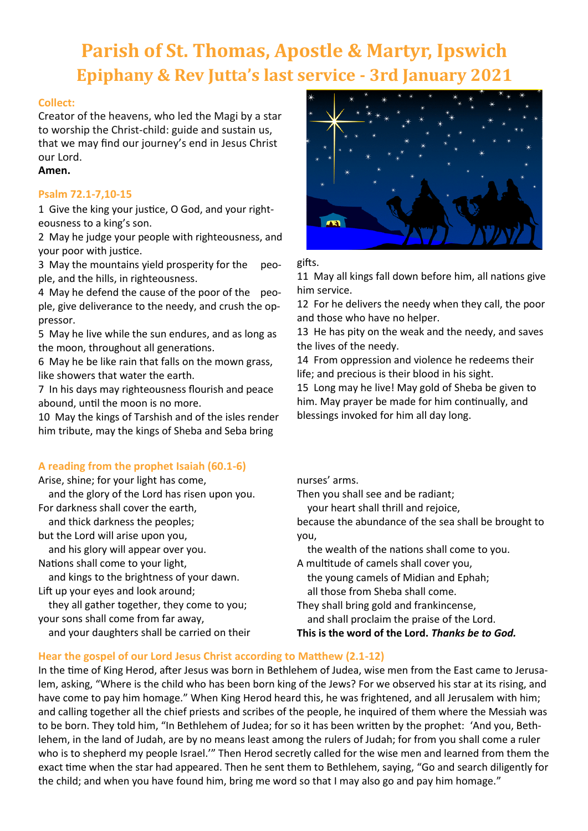# **Parish of St. Thomas, Apostle & Martyr, Ipswich Epiphany & Rev Jutta's last service - 3rd January 2021**

#### **Collect:**

Creator of the heavens, who led the Magi by a star to worship the Christ-child: guide and sustain us, that we may find our journey's end in Jesus Christ our Lord.

#### **Amen.**

#### **Psalm 72.1-7,10-15**

1 Give the king your justice, O God, and your righteousness to a king's son.

2 May he judge your people with righteousness, and your poor with justice.

3 May the mountains yield prosperity for the people, and the hills, in righteousness.

4 May he defend the cause of the poor of the people, give deliverance to the needy, and crush the oppressor.

5 May he live while the sun endures, and as long as the moon, throughout all generations.

6 May he be like rain that falls on the mown grass, like showers that water the earth.

7 In his days may righteousness flourish and peace abound, until the moon is no more.

10 May the kings of Tarshish and of the isles render him tribute, may the kings of Sheba and Seba bring

## **A reading from the prophet Isaiah (60.1-6)**

Arise, shine; for your light has come,

 and the glory of the Lord has risen upon you. For darkness shall cover the earth,

and thick darkness the peoples;

but the Lord will arise upon you,

and his glory will appear over you.

Nations shall come to your light,

and kings to the brightness of your dawn.

Lift up your eyes and look around; they all gather together, they come to you; your sons shall come from far away,

and your daughters shall be carried on their



gifts.

11 May all kings fall down before him, all nations give him service.

12 For he delivers the needy when they call, the poor and those who have no helper.

13 He has pity on the weak and the needy, and saves the lives of the needy.

14 From oppression and violence he redeems their life; and precious is their blood in his sight.

15 Long may he live! May gold of Sheba be given to him. May prayer be made for him continually, and blessings invoked for him all day long.

nurses' arms.

Then you shall see and be radiant;

your heart shall thrill and rejoice,

because the abundance of the sea shall be brought to you,

the wealth of the nations shall come to you.

A multitude of camels shall cover you,

 the young camels of Midian and Ephah; all those from Sheba shall come.

They shall bring gold and frankincense, and shall proclaim the praise of the Lord.

**This is the word of the Lord.** *Thanks be to God.*

## **Hear the gospel of our Lord Jesus Christ according to Matthew (2.1-12)**

In the time of King Herod, after Jesus was born in Bethlehem of Judea, wise men from the East came to Jerusalem, asking, "Where is the child who has been born king of the Jews? For we observed his star at its rising, and have come to pay him homage." When King Herod heard this, he was frightened, and all Jerusalem with him; and calling together all the chief priests and scribes of the people, he inquired of them where the Messiah was to be born. They told him, "In Bethlehem of Judea; for so it has been written by the prophet: 'And you, Bethlehem, in the land of Judah, are by no means least among the rulers of Judah; for from you shall come a ruler who is to shepherd my people Israel.'" Then Herod secretly called for the wise men and learned from them the exact time when the star had appeared. Then he sent them to Bethlehem, saying, "Go and search diligently for the child; and when you have found him, bring me word so that I may also go and pay him homage."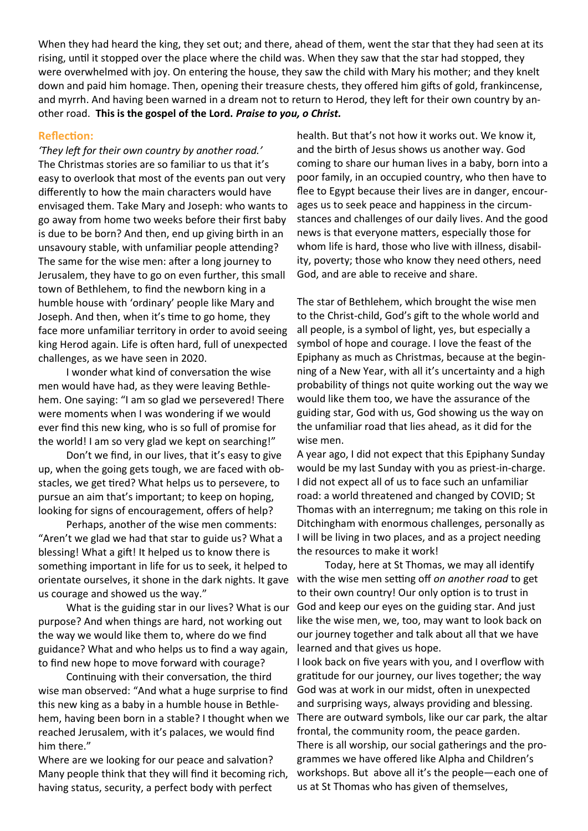When they had heard the king, they set out; and there, ahead of them, went the star that they had seen at its rising, until it stopped over the place where the child was. When they saw that the star had stopped, they were overwhelmed with joy. On entering the house, they saw the child with Mary his mother; and they knelt down and paid him homage. Then, opening their treasure chests, they offered him gifts of gold, frankincense, and myrrh. And having been warned in a dream not to return to Herod, they left for their own country by another road. **This is the gospel of the Lord.** *Praise to you, o Christ.*

#### **Reflection:**

*'They left for their own country by another road.'* The Christmas stories are so familiar to us that it's easy to overlook that most of the events pan out very differently to how the main characters would have envisaged them. Take Mary and Joseph: who wants to go away from home two weeks before their first baby is due to be born? And then, end up giving birth in an unsavoury stable, with unfamiliar people attending? The same for the wise men: after a long journey to Jerusalem, they have to go on even further, this small town of Bethlehem, to find the newborn king in a humble house with 'ordinary' people like Mary and Joseph. And then, when it's time to go home, they face more unfamiliar territory in order to avoid seeing king Herod again. Life is often hard, full of unexpected challenges, as we have seen in 2020.

I wonder what kind of conversation the wise men would have had, as they were leaving Bethlehem. One saying: "I am so glad we persevered! There were moments when I was wondering if we would ever find this new king, who is so full of promise for the world! I am so very glad we kept on searching!"

Don't we find, in our lives, that it's easy to give up, when the going gets tough, we are faced with obstacles, we get tired? What helps us to persevere, to pursue an aim that's important; to keep on hoping, looking for signs of encouragement, offers of help?

Perhaps, another of the wise men comments: "Aren't we glad we had that star to guide us? What a blessing! What a gift! It helped us to know there is something important in life for us to seek, it helped to orientate ourselves, it shone in the dark nights. It gave us courage and showed us the way."

What is the guiding star in our lives? What is our purpose? And when things are hard, not working out the way we would like them to, where do we find guidance? What and who helps us to find a way again, to find new hope to move forward with courage?

Continuing with their conversation, the third wise man observed: "And what a huge surprise to find this new king as a baby in a humble house in Bethlehem, having been born in a stable? I thought when we reached Jerusalem, with it's palaces, we would find him there."

Where are we looking for our peace and salvation? Many people think that they will find it becoming rich, having status, security, a perfect body with perfect

health. But that's not how it works out. We know it, and the birth of Jesus shows us another way. God coming to share our human lives in a baby, born into a poor family, in an occupied country, who then have to flee to Egypt because their lives are in danger, encourages us to seek peace and happiness in the circumstances and challenges of our daily lives. And the good news is that everyone matters, especially those for whom life is hard, those who live with illness, disability, poverty; those who know they need others, need God, and are able to receive and share.

The star of Bethlehem, which brought the wise men to the Christ-child, God's gift to the whole world and all people, is a symbol of light, yes, but especially a symbol of hope and courage. I love the feast of the Epiphany as much as Christmas, because at the beginning of a New Year, with all it's uncertainty and a high probability of things not quite working out the way we would like them too, we have the assurance of the guiding star, God with us, God showing us the way on the unfamiliar road that lies ahead, as it did for the wise men.

A year ago, I did not expect that this Epiphany Sunday would be my last Sunday with you as priest-in-charge. I did not expect all of us to face such an unfamiliar road: a world threatened and changed by COVID; St Thomas with an interregnum; me taking on this role in Ditchingham with enormous challenges, personally as I will be living in two places, and as a project needing the resources to make it work!

Today, here at St Thomas, we may all identify with the wise men setting off *on another road* to get to their own country! Our only option is to trust in God and keep our eyes on the guiding star. And just like the wise men, we, too, may want to look back on our journey together and talk about all that we have learned and that gives us hope.

I look back on five years with you, and I overflow with gratitude for our journey, our lives together; the way God was at work in our midst, often in unexpected and surprising ways, always providing and blessing. There are outward symbols, like our car park, the altar frontal, the community room, the peace garden. There is all worship, our social gatherings and the programmes we have offered like Alpha and Children's workshops. But above all it's the people—each one of us at St Thomas who has given of themselves,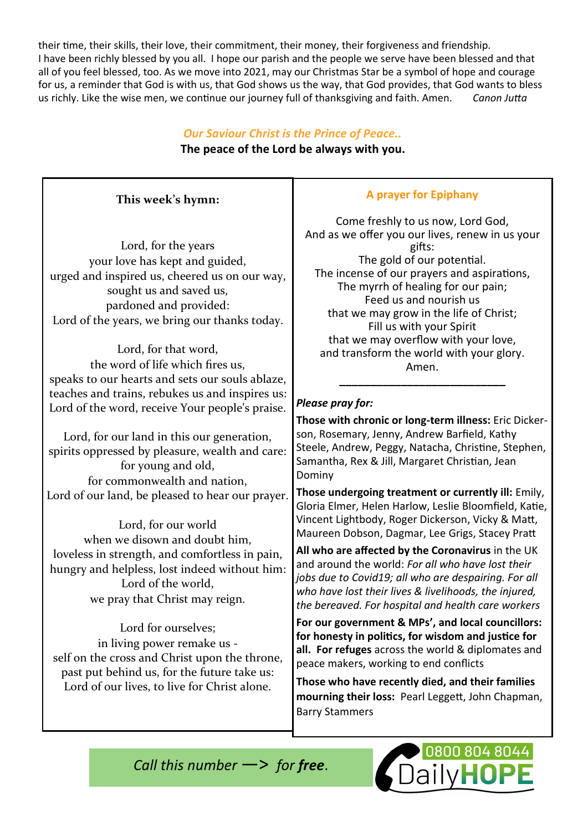their time, their skills, their love, their commitment, their money, their forgiveness and friendship. I have been richly blessed by you all. I hope our parish and the people we serve have been blessed and that all of you feel blessed, too. As we move into 2021, may our Christmas Star be a symbol of hope and courage for us, a reminder that God is with us, that God shows us the way, that God provides, that God wants to bless us richly. Like the wise men, we continue our journey full of thanksgiving and faith. Amen. *Canon Jutta* 

# *Our Saviour Christ is the Prince of Peace..*

**The peace of the Lord be always with you.**

## **This week's hymn:**

Lord, for the years your love has kept and guided, urged and inspired us, cheered us on our way, sought us and saved us, pardoned and provided: Lord of the years, we bring our thanks today.

Lord, for that word, the word of life which fires us, speaks to our hearts and sets our souls ablaze, teaches and trains, rebukes us and inspires us: Lord of the word, receive Your people's praise.

Lord, for our land in this our generation, spirits oppressed by pleasure, wealth and care: for young and old, for commonwealth and nation, Lord of our land, be pleased to hear our prayer.

Lord, for our world when we disown and doubt him, loveless in strength, and comfortless in pain, hungry and helpless, lost indeed without him: Lord of the world, we pray that Christ may reign.

Lord for ourselves; in living power remake us self on the cross and Christ upon the throne, past put behind us, for the future take us: Lord of our lives, to live for Christ alone.

# **A prayer for Epiphany**

Come freshly to us now, Lord God, And as we offer you our lives, renew in us your gifts: The gold of our potential. The incense of our prayers and aspirations, The myrrh of healing for our pain; Feed us and nourish us that we may grow in the life of Christ; Fill us with your Spirit that we may overflow with your love, and transform the world with your glory. Amen.

## *Please pray for:*

**Those with chronic or long-term illness:** Eric Dickerson, Rosemary, Jenny, Andrew Barfield, Kathy Steele, Andrew, Peggy, Natacha, Christine, Stephen, Samantha, Rex & Jill, Margaret Christian, Jean Dominy

**\_\_\_\_\_\_\_\_\_\_\_\_\_\_\_\_\_\_\_\_\_\_\_\_\_\_\_**

**Those undergoing treatment or currently ill:** Emily, Gloria Elmer, Helen Harlow, Leslie Bloomfield, Katie, Vincent Lightbody, Roger Dickerson, Vicky & Matt, Maureen Dobson, Dagmar, Lee Grigs, Stacey Pratt

**All who are affected by the Coronavirus** in the UK and around the world: *For all who have lost their jobs due to Covid19; all who are despairing. For all who have lost their lives & livelihoods, the injured, the bereaved. For hospital and health care workers*

**For our government & MPs', and local councillors: for honesty in politics, for wisdom and justice for all. For refuges** across the world & diplomates and peace makers, working to end conflicts

**Those who have recently died, and their families mourning their loss:** Pearl Leggett, John Chapman, Barry Stammers

*Call this number* —> *for free*.